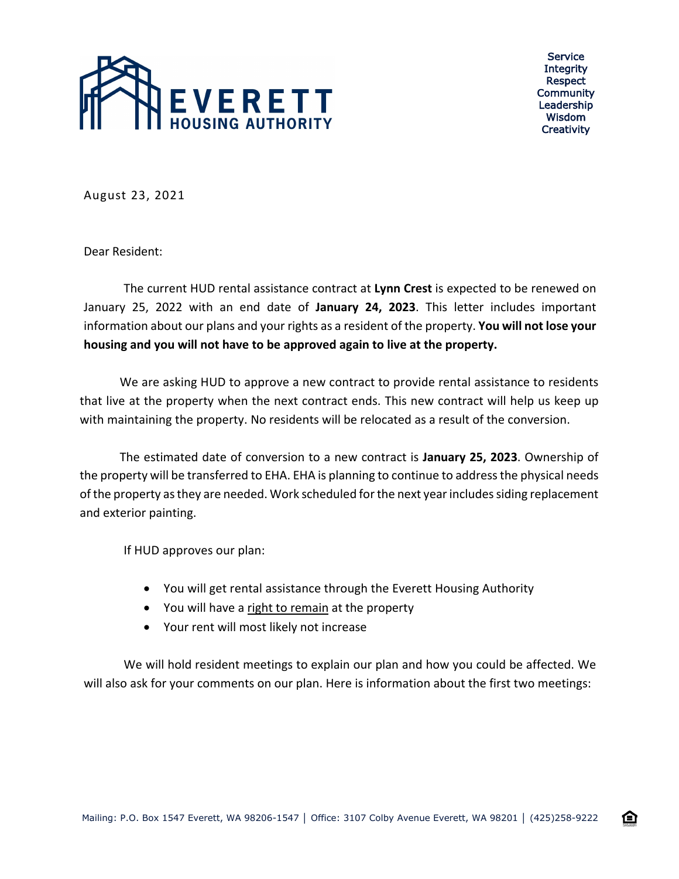

Service **Integrity** Respect Community Leadership Wisdom **Creativity** 

企

August 23, 2021

Dear Resident:

The current HUD rental assistance contract at **Lynn Crest** is expected to be renewed on January 25, 2022 with an end date of **January 24, 2023**. This letter includes important information about our plans and your rights as a resident of the property. **You will not lose your housing and you will not have to be approved again to live at the property.**

We are asking HUD to approve a new contract to provide rental assistance to residents that live at the property when the next contract ends. This new contract will help us keep up with maintaining the property. No residents will be relocated as a result of the conversion.

The estimated date of conversion to a new contract is **January 25, 2023**. Ownership of the property will be transferred to EHA. EHA is planning to continue to address the physical needs of the property as they are needed. Work scheduled for the next year includes siding replacement and exterior painting.

If HUD approves our plan:

- You will get rental assistance through the Everett Housing Authority
- You will have a right to remain at the property
- Your rent will most likely not increase

We will hold resident meetings to explain our plan and how you could be affected. We will also ask for your comments on our plan. Here is information about the first two meetings: